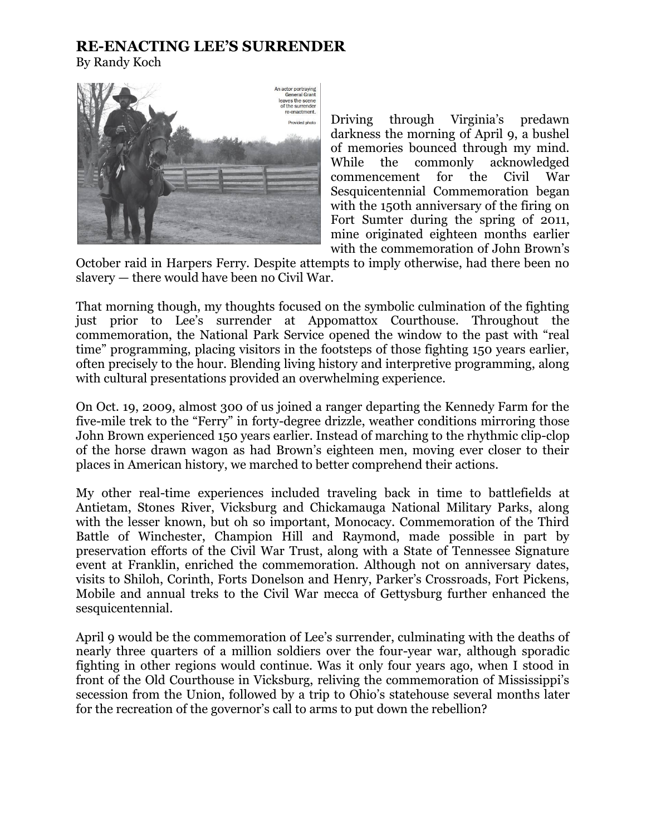## **RE-ENACTING LEE'S SURRENDER**

By Randy Koch



Driving through Virginia's predawn darkness the morning of April 9, a bushel of memories bounced through my mind. While the commonly acknowledged commencement for the Civil War Sesquicentennial Commemoration began with the 150th anniversary of the firing on Fort Sumter during the spring of 2011, mine originated eighteen months earlier with the commemoration of John Brown's

October raid in Harpers Ferry. Despite attempts to imply otherwise, had there been no slavery — there would have been no Civil War.

That morning though, my thoughts focused on the symbolic culmination of the fighting just prior to Lee's surrender at Appomattox Courthouse. Throughout the commemoration, the National Park Service opened the window to the past with "real time" programming, placing visitors in the footsteps of those fighting 150 years earlier, often precisely to the hour. Blending living history and interpretive programming, along with cultural presentations provided an overwhelming experience.

On Oct. 19, 2009, almost 300 of us joined a ranger departing the Kennedy Farm for the five-mile trek to the "Ferry" in forty-degree drizzle, weather conditions mirroring those John Brown experienced 150 years earlier. Instead of marching to the rhythmic clip-clop of the horse drawn wagon as had Brown's eighteen men, moving ever closer to their places in American history, we marched to better comprehend their actions.

My other real-time experiences included traveling back in time to battlefields at Antietam, Stones River, Vicksburg and Chickamauga National Military Parks, along with the lesser known, but oh so important, Monocacy. Commemoration of the Third Battle of Winchester, Champion Hill and Raymond, made possible in part by preservation efforts of the Civil War Trust, along with a State of Tennessee Signature event at Franklin, enriched the commemoration. Although not on anniversary dates, visits to Shiloh, Corinth, Forts Donelson and Henry, Parker's Crossroads, Fort Pickens, Mobile and annual treks to the Civil War mecca of Gettysburg further enhanced the sesquicentennial.

April 9 would be the commemoration of Lee's surrender, culminating with the deaths of nearly three quarters of a million soldiers over the four-year war, although sporadic fighting in other regions would continue. Was it only four years ago, when I stood in front of the Old Courthouse in Vicksburg, reliving the commemoration of Mississippi's secession from the Union, followed by a trip to Ohio's statehouse several months later for the recreation of the governor's call to arms to put down the rebellion?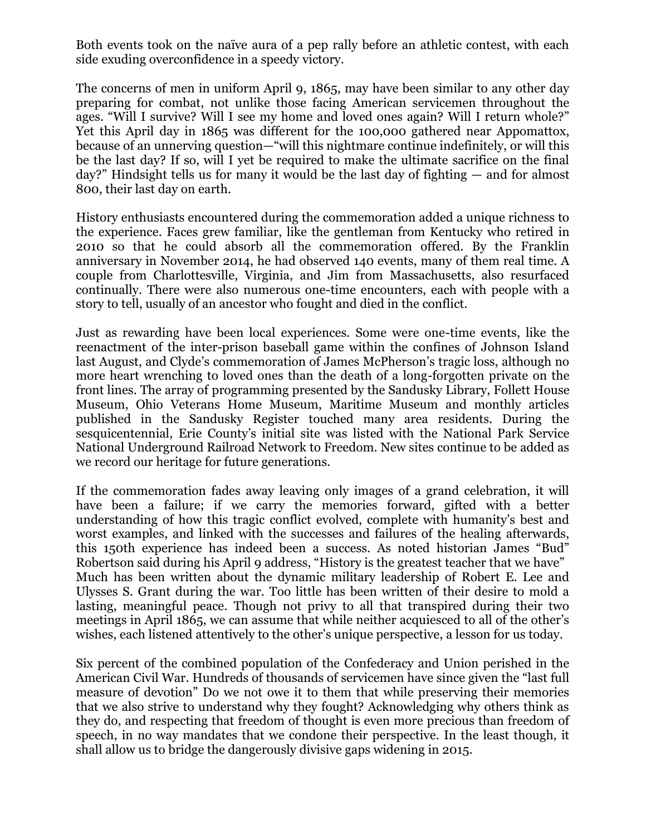Both events took on the naïve aura of a pep rally before an athletic contest, with each side exuding overconfidence in a speedy victory.

The concerns of men in uniform April 9, 1865, may have been similar to any other day preparing for combat, not unlike those facing American servicemen throughout the ages. "Will I survive? Will I see my home and loved ones again? Will I return whole?" Yet this April day in 1865 was different for the 100,000 gathered near Appomattox, because of an unnerving question—"will this nightmare continue indefinitely, or will this be the last day? If so, will I yet be required to make the ultimate sacrifice on the final day?" Hindsight tells us for many it would be the last day of fighting — and for almost 800, their last day on earth.

History enthusiasts encountered during the commemoration added a unique richness to the experience. Faces grew familiar, like the gentleman from Kentucky who retired in 2010 so that he could absorb all the commemoration offered. By the Franklin anniversary in November 2014, he had observed 140 events, many of them real time. A couple from Charlottesville, Virginia, and Jim from Massachusetts, also resurfaced continually. There were also numerous one-time encounters, each with people with a story to tell, usually of an ancestor who fought and died in the conflict.

Just as rewarding have been local experiences. Some were one-time events, like the reenactment of the inter-prison baseball game within the confines of Johnson Island last August, and Clyde's commemoration of James McPherson's tragic loss, although no more heart wrenching to loved ones than the death of a long-forgotten private on the front lines. The array of programming presented by the Sandusky Library, Follett House Museum, Ohio Veterans Home Museum, Maritime Museum and monthly articles published in the Sandusky Register touched many area residents. During the sesquicentennial, Erie County's initial site was listed with the National Park Service National Underground Railroad Network to Freedom. New sites continue to be added as we record our heritage for future generations.

If the commemoration fades away leaving only images of a grand celebration, it will have been a failure; if we carry the memories forward, gifted with a better understanding of how this tragic conflict evolved, complete with humanity's best and worst examples, and linked with the successes and failures of the healing afterwards, this 150th experience has indeed been a success. As noted historian James "Bud" Robertson said during his April 9 address, "History is the greatest teacher that we have" Much has been written about the dynamic military leadership of Robert E. Lee and Ulysses S. Grant during the war. Too little has been written of their desire to mold a lasting, meaningful peace. Though not privy to all that transpired during their two meetings in April 1865, we can assume that while neither acquiesced to all of the other's wishes, each listened attentively to the other's unique perspective, a lesson for us today.

Six percent of the combined population of the Confederacy and Union perished in the American Civil War. Hundreds of thousands of servicemen have since given the "last full measure of devotion" Do we not owe it to them that while preserving their memories that we also strive to understand why they fought? Acknowledging why others think as they do, and respecting that freedom of thought is even more precious than freedom of speech, in no way mandates that we condone their perspective. In the least though, it shall allow us to bridge the dangerously divisive gaps widening in 2015.